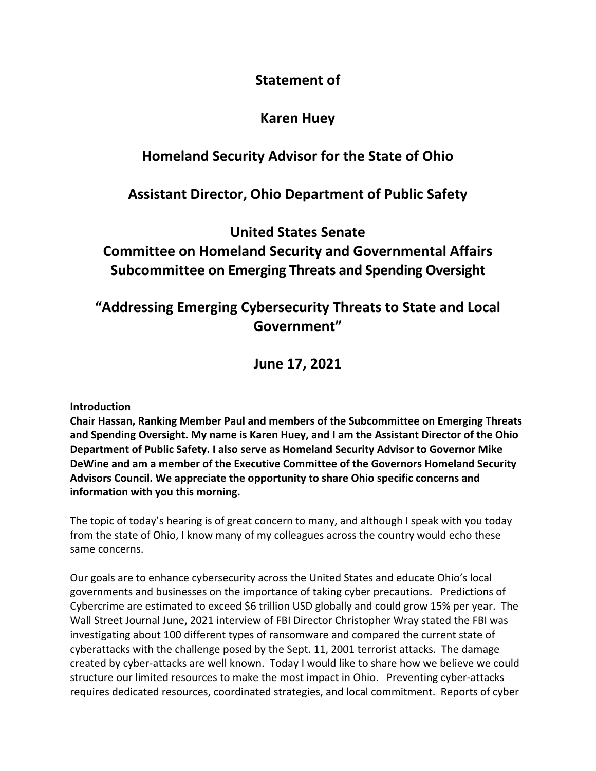**Statement of** 

#### **Karen Huey**

## **Homeland Security Advisor for the State of Ohio**

## **Assistant Director, Ohio Department of Public Safety**

**United States Senate Committee on Homeland Security and Governmental Affairs Subcommittee on Emerging Threats and Spending Oversight**

# **"Addressing Emerging Cybersecurity Threats to State and Local Government"**

**June 17, 2021**

#### **Introduction**

**Chair Hassan, Ranking Member Paul and members of the Subcommittee on Emerging Threats and Spending Oversight. My name is Karen Huey, and I am the Assistant Director of the Ohio Department of Public Safety. I also serve as Homeland Security Advisor to Governor Mike DeWine and am a member of the Executive Committee of the Governors Homeland Security Advisors Council. We appreciate the opportunity to share Ohio specific concerns and information with you this morning.**

The topic of today's hearing is of great concern to many, and although I speak with you today from the state of Ohio, I know many of my colleagues across the country would echo these same concerns.

Our goals are to enhance cybersecurity across the United States and educate Ohio's local governments and businesses on the importance of taking cyber precautions. Predictions of Cybercrime are estimated to exceed \$6 trillion USD globally and could grow 15% per year. The Wall Street Journal June, 2021 interview of FBI Director Christopher Wray stated the FBI was investigating about 100 different types of ransomware and compared the current state of cyberattacks with the challenge posed by the Sept. 11, 2001 terrorist attacks. The damage created by cyber-attacks are well known. Today I would like to share how we believe we could structure our limited resources to make the most impact in Ohio. Preventing cyber-attacks requires dedicated resources, coordinated strategies, and local commitment. Reports of cyber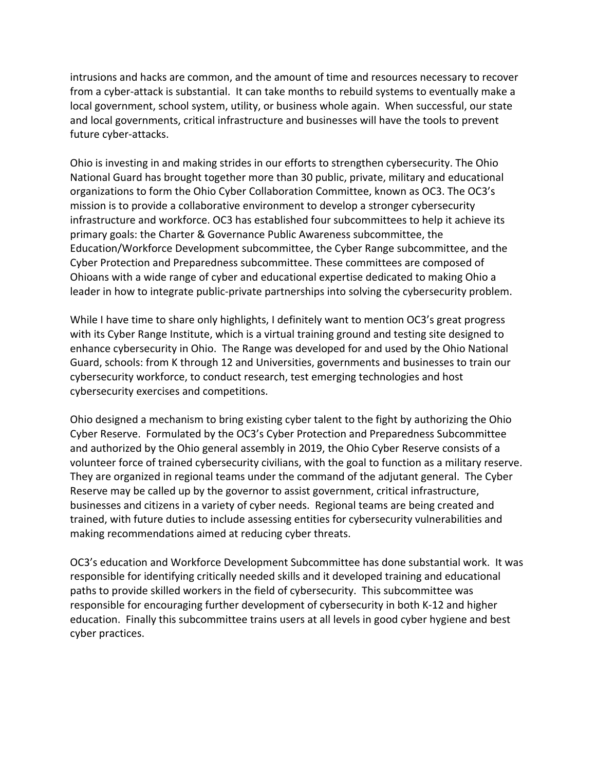intrusions and hacks are common, and the amount of time and resources necessary to recover from a cyber-attack is substantial. It can take months to rebuild systems to eventually make a local government, school system, utility, or business whole again. When successful, our state and local governments, critical infrastructure and businesses will have the tools to prevent future cyber-attacks.

Ohio is investing in and making strides in our efforts to strengthen cybersecurity. The Ohio National Guard has brought together more than 30 public, private, military and educational organizations to form the Ohio Cyber Collaboration Committee, known as OC3. The OC3's mission is to provide a collaborative environment to develop a stronger cybersecurity infrastructure and workforce. OC3 has established four subcommittees to help it achieve its primary goals: the Charter & Governance Public Awareness subcommittee, the Education/Workforce Development subcommittee, the Cyber Range subcommittee, and the Cyber Protection and Preparedness subcommittee. These committees are composed of Ohioans with a wide range of cyber and educational expertise dedicated to making Ohio a leader in how to integrate public-private partnerships into solving the cybersecurity problem.

While I have time to share only highlights, I definitely want to mention OC3's great progress with its Cyber Range Institute, which is a virtual training ground and testing site designed to enhance cybersecurity in Ohio. The Range was developed for and used by the Ohio National Guard, schools: from K through 12 and Universities, governments and businesses to train our cybersecurity workforce, to conduct research, test emerging technologies and host cybersecurity exercises and competitions.

Ohio designed a mechanism to bring existing cyber talent to the fight by authorizing the Ohio Cyber Reserve. Formulated by the OC3's Cyber Protection and Preparedness Subcommittee and authorized by the Ohio general assembly in 2019, the Ohio Cyber Reserve consists of a volunteer force of trained cybersecurity civilians, with the goal to function as a military reserve. They are organized in regional teams under the command of the adjutant general. The Cyber Reserve may be called up by the governor to assist government, critical infrastructure, businesses and citizens in a variety of cyber needs. Regional teams are being created and trained, with future duties to include assessing entities for cybersecurity vulnerabilities and making recommendations aimed at reducing cyber threats.

OC3's education and Workforce Development Subcommittee has done substantial work. It was responsible for identifying critically needed skills and it developed training and educational paths to provide skilled workers in the field of cybersecurity. This subcommittee was responsible for encouraging further development of cybersecurity in both K-12 and higher education. Finally this subcommittee trains users at all levels in good cyber hygiene and best cyber practices.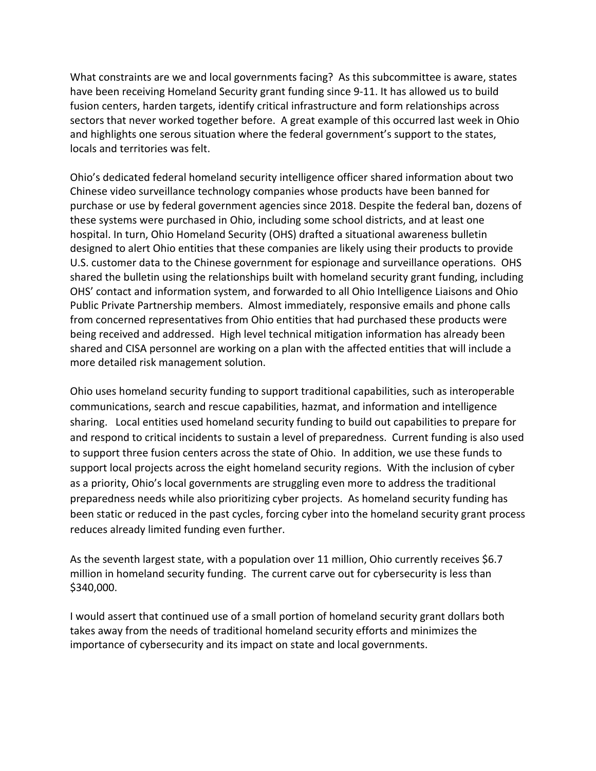What constraints are we and local governments facing? As this subcommittee is aware, states have been receiving Homeland Security grant funding since 9-11. It has allowed us to build fusion centers, harden targets, identify critical infrastructure and form relationships across sectors that never worked together before. A great example of this occurred last week in Ohio and highlights one serous situation where the federal government's support to the states, locals and territories was felt.

Ohio's dedicated federal homeland security intelligence officer shared information about two Chinese video surveillance technology companies whose products have been banned for purchase or use by federal government agencies since 2018. Despite the federal ban, dozens of these systems were purchased in Ohio, including some school districts, and at least one hospital. In turn, Ohio Homeland Security (OHS) drafted a situational awareness bulletin designed to alert Ohio entities that these companies are likely using their products to provide U.S. customer data to the Chinese government for espionage and surveillance operations. OHS shared the bulletin using the relationships built with homeland security grant funding, including OHS' contact and information system, and forwarded to all Ohio Intelligence Liaisons and Ohio Public Private Partnership members. Almost immediately, responsive emails and phone calls from concerned representatives from Ohio entities that had purchased these products were being received and addressed. High level technical mitigation information has already been shared and CISA personnel are working on a plan with the affected entities that will include a more detailed risk management solution.

Ohio uses homeland security funding to support traditional capabilities, such as interoperable communications, search and rescue capabilities, hazmat, and information and intelligence sharing. Local entities used homeland security funding to build out capabilities to prepare for and respond to critical incidents to sustain a level of preparedness. Current funding is also used to support three fusion centers across the state of Ohio. In addition, we use these funds to support local projects across the eight homeland security regions. With the inclusion of cyber as a priority, Ohio's local governments are struggling even more to address the traditional preparedness needs while also prioritizing cyber projects. As homeland security funding has been static or reduced in the past cycles, forcing cyber into the homeland security grant process reduces already limited funding even further.

As the seventh largest state, with a population over 11 million, Ohio currently receives \$6.7 million in homeland security funding. The current carve out for cybersecurity is less than \$340,000.

I would assert that continued use of a small portion of homeland security grant dollars both takes away from the needs of traditional homeland security efforts and minimizes the importance of cybersecurity and its impact on state and local governments.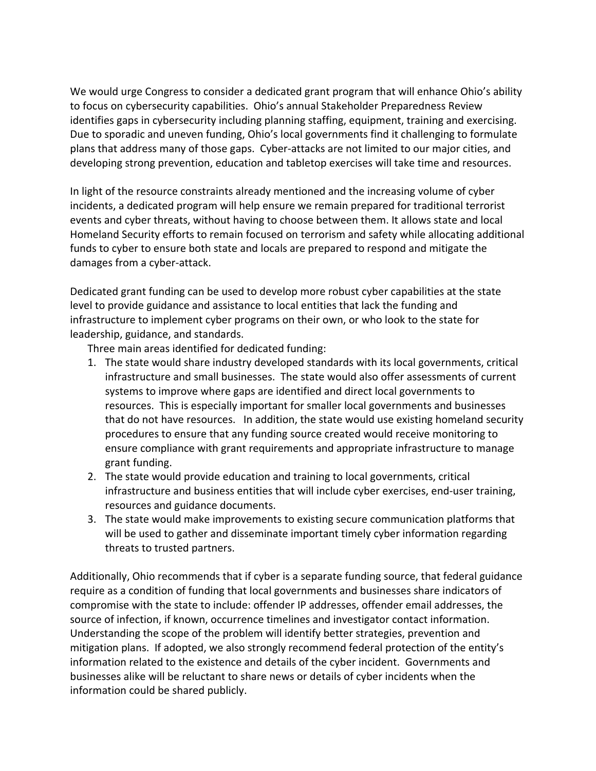We would urge Congress to consider a dedicated grant program that will enhance Ohio's ability to focus on cybersecurity capabilities. Ohio's annual Stakeholder Preparedness Review identifies gaps in cybersecurity including planning staffing, equipment, training and exercising. Due to sporadic and uneven funding, Ohio's local governments find it challenging to formulate plans that address many of those gaps. Cyber-attacks are not limited to our major cities, and developing strong prevention, education and tabletop exercises will take time and resources.

In light of the resource constraints already mentioned and the increasing volume of cyber incidents, a dedicated program will help ensure we remain prepared for traditional terrorist events and cyber threats, without having to choose between them. It allows state and local Homeland Security efforts to remain focused on terrorism and safety while allocating additional funds to cyber to ensure both state and locals are prepared to respond and mitigate the damages from a cyber-attack.

Dedicated grant funding can be used to develop more robust cyber capabilities at the state level to provide guidance and assistance to local entities that lack the funding and infrastructure to implement cyber programs on their own, or who look to the state for leadership, guidance, and standards.

Three main areas identified for dedicated funding:

- 1. The state would share industry developed standards with its local governments, critical infrastructure and small businesses. The state would also offer assessments of current systems to improve where gaps are identified and direct local governments to resources. This is especially important for smaller local governments and businesses that do not have resources. In addition, the state would use existing homeland security procedures to ensure that any funding source created would receive monitoring to ensure compliance with grant requirements and appropriate infrastructure to manage grant funding.
- 2. The state would provide education and training to local governments, critical infrastructure and business entities that will include cyber exercises, end-user training, resources and guidance documents.
- 3. The state would make improvements to existing secure communication platforms that will be used to gather and disseminate important timely cyber information regarding threats to trusted partners.

Additionally, Ohio recommends that if cyber is a separate funding source, that federal guidance require as a condition of funding that local governments and businesses share indicators of compromise with the state to include: offender IP addresses, offender email addresses, the source of infection, if known, occurrence timelines and investigator contact information. Understanding the scope of the problem will identify better strategies, prevention and mitigation plans. If adopted, we also strongly recommend federal protection of the entity's information related to the existence and details of the cyber incident. Governments and businesses alike will be reluctant to share news or details of cyber incidents when the information could be shared publicly.